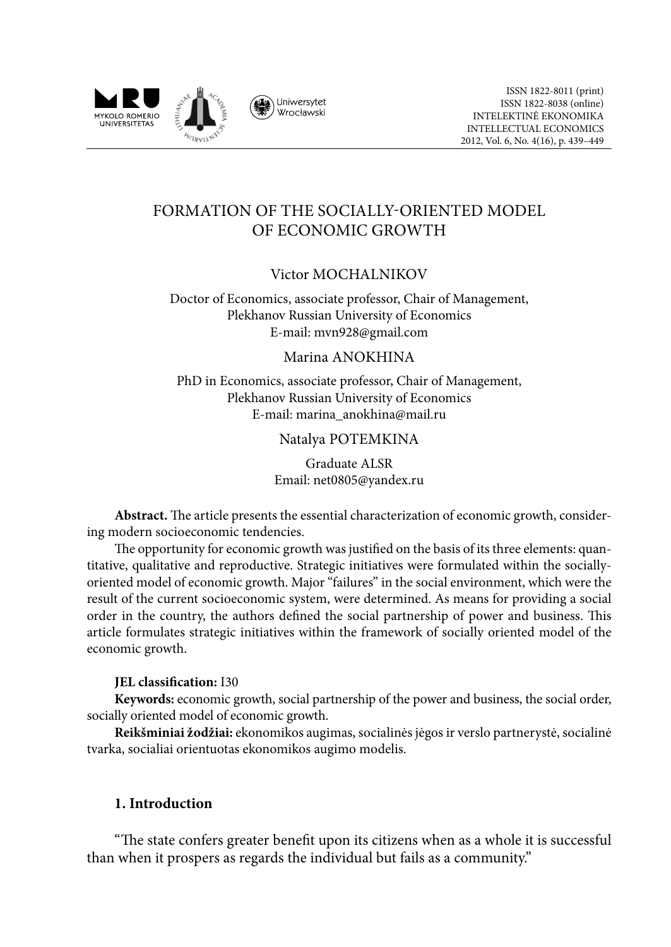

# Formation of the Socially-Oriented Model of Economic Growth

## Victor MOCHALNIKOV

Doctor of Economics, associate professor, Chair of Management, Plekhanov Russian University of Economics E-mail: mvn928@gmail.com

#### Marina ANOKHINA

PhD in Economics, associate professor, Chair of Management, Plekhanov Russian University of Economics E-mail: marina\_anokhina@mail.ru

#### Natalya POTEMKINA

Graduate ALSR Email: net0805@yandex.ru

**Abstract.** The article presents the essential characterization of economic growth, considering modern socioeconomic tendencies.

The opportunity for economic growth was justified on the basis of its three elements: quantitative, qualitative and reproductive. Strategic initiatives were formulated within the sociallyoriented model of economic growth. Major "failures" in the social environment, which were the result of the current socioeconomic system, were determined. As means for providing a social order in the country, the authors defined the social partnership of power and business. This article formulates strategic initiatives within the framework of socially oriented model of the economic growth.

#### **JEL classification:** I30

**Keywords:** economic growth, social partnership of the power and business, the social order, socially oriented model of economic growth.

**Reikšminiai žodžiai:** ekonomikos augimas, socialinės jėgos ir verslo partnerystė, socialinė tvarka, socialiai orientuotas ekonomikos augimo modelis.

#### **1. Introduction**

"The state confers greater benefit upon its citizens when as a whole it is successful than when it prospers as regards the individual but fails as a community."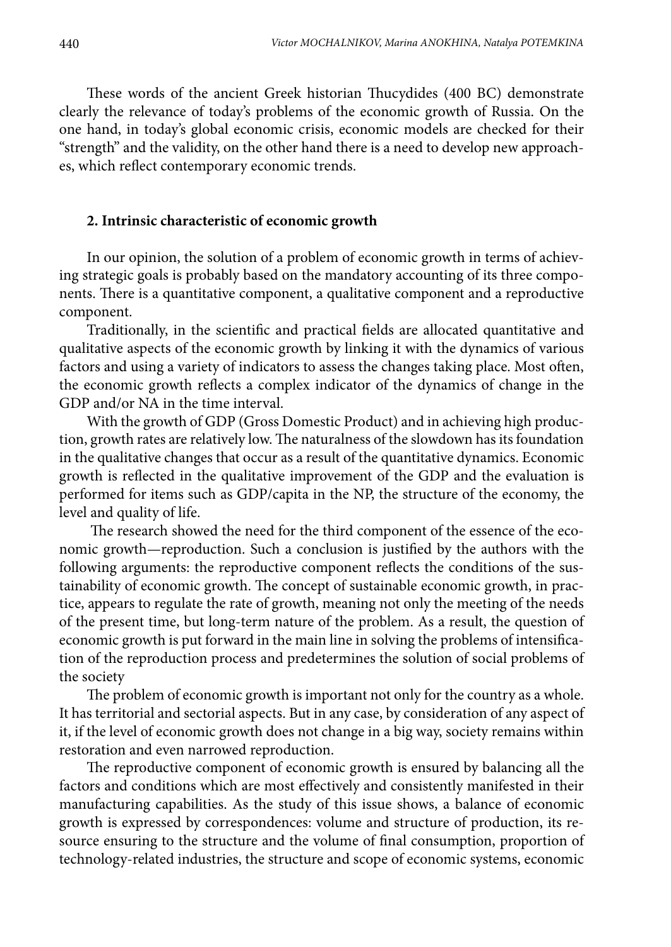These words of the ancient Greek historian Thucydides (400 BC) demonstrate clearly the relevance of today's problems of the economic growth of Russia. On the one hand, in today's global economic crisis, economic models are checked for their "strength" and the validity, on the other hand there is a need to develop new approaches, which reflect contemporary economic trends.

#### **2. Intrinsic characteristic of economic growth**

In our opinion, the solution of a problem of economic growth in terms of achieving strategic goals is probably based on the mandatory accounting of its three components. There is a quantitative component, a qualitative component and a reproductive component.

Traditionally, in the scientific and practical fields are allocated quantitative and qualitative aspects of the economic growth by linking it with the dynamics of various factors and using a variety of indicators to assess the changes taking place. Most often, the economic growth reflects a complex indicator of the dynamics of change in the GDP and/or NA in the time interval.

With the growth of GDP (Gross Domestic Product) and in achieving high production, growth rates are relatively low. The naturalness of the slowdown has its foundation in the qualitative changes that occur as a result of the quantitative dynamics. Economic growth is reflected in the qualitative improvement of the GDP and the evaluation is performed for items such as GDP/capita in the NP, the structure of the economy, the level and quality of life.

 The research showed the need for the third component of the essence of the economic growth—reproduction. Such a conclusion is justified by the authors with the following arguments: the reproductive component reflects the conditions of the sustainability of economic growth. The concept of sustainable economic growth, in practice, appears to regulate the rate of growth, meaning not only the meeting of the needs of the present time, but long-term nature of the problem. As a result, the question of economic growth is put forward in the main line in solving the problems of intensification of the reproduction process and predetermines the solution of social problems of the society

The problem of economic growth is important not only for the country as a whole. It has territorial and sectorial aspects. But in any case, by consideration of any aspect of it, if the level of economic growth does not change in a big way, society remains within restoration and even narrowed reproduction.

The reproductive component of economic growth is ensured by balancing all the factors and conditions which are most effectively and consistently manifested in their manufacturing capabilities. As the study of this issue shows, a balance of economic growth is expressed by correspondences: volume and structure of production, its resource ensuring to the structure and the volume of final consumption, proportion of technology-related industries, the structure and scope of economic systems, economic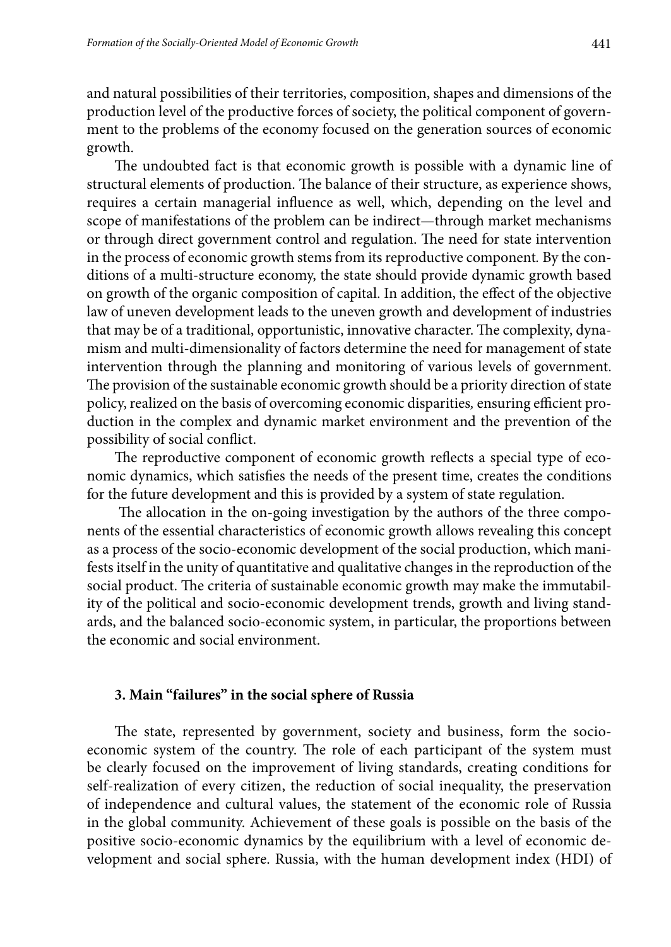and natural possibilities of their territories, composition, shapes and dimensions of the production level of the productive forces of society, the political component of government to the problems of the economy focused on the generation sources of economic growth.

The undoubted fact is that economic growth is possible with a dynamic line of structural elements of production. The balance of their structure, as experience shows, requires a certain managerial influence as well, which, depending on the level and scope of manifestations of the problem can be indirect—through market mechanisms or through direct government control and regulation. The need for state intervention in the process of economic growth stems from its reproductive component*.* By the conditions of a multi-structure economy, the state should provide dynamic growth based on growth of the organic composition of capital. In addition, the effect of the objective law of uneven development leads to the uneven growth and development of industries that may be of a traditional, opportunistic, innovative character. The complexity, dynamism and multi-dimensionality of factors determine the need for management of state intervention through the planning and monitoring of various levels of government. The provision of the sustainable economic growth should be a priority direction of state policy, realized on the basis of overcoming economic disparities*,* ensuring efficient production in the complex and dynamic market environment and the prevention of the possibility of social conflict.

The reproductive component of economic growth reflects a special type of economic dynamics, which satisfies the needs of the present time, creates the conditions for the future development and this is provided by a system of state regulation.

 The allocation in the on-going investigation by the authors of the three components of the essential characteristics of economic growth allows revealing this concept as a process of the socio-economic development of the social production, which manifests itself in the unity of quantitative and qualitative changes in the reproduction of the social product. The criteria of sustainable economic growth may make the immutability of the political and socio-economic development trends, growth and living standards, and the balanced socio-economic system, in particular, the proportions between the economic and social environment.

#### **3. Main "failures" in the social sphere of Russia**

The state, represented by government, society and business, form the socioeconomic system of the country. The role of each participant of the system must be clearly focused on the improvement of living standards, creating conditions for self-realization of every citizen, the reduction of social inequality, the preservation of independence and cultural values, the statement of the economic role of Russia in the global community. Achievement of these goals is possible on the basis of the positive socio-economic dynamics by the equilibrium with a level of economic development and social sphere. Russia, with the human development index (HDI) of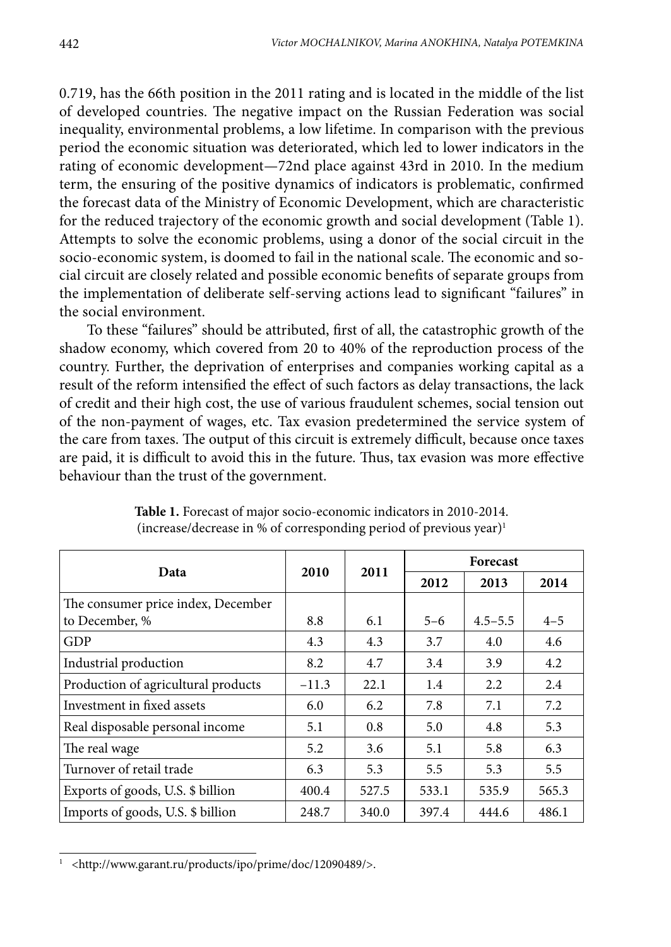0.719, has the 66th position in the 2011 rating and is located in the middle of the list of developed countries. The negative impact on the Russian Federation was social inequality, environmental problems, a low lifetime. In comparison with the previous period the economic situation was deteriorated, which led to lower indicators in the rating of economic development—72nd place against 43rd in 2010. In the medium term, the ensuring of the positive dynamics of indicators is problematic, confirmed the forecast data of the Ministry of Economic Development, which are characteristic for the reduced trajectory of the economic growth and social development (Table 1). Attempts to solve the economic problems, using a donor of the social circuit in the socio-economic system, is doomed to fail in the national scale. The economic and social circuit are closely related and possible economic benefits of separate groups from the implementation of deliberate self-serving actions lead to significant "failures" in the social environment.

To these "failures" should be attributed, first of all, the catastrophic growth of the shadow economy, which covered from 20 to 40% of the reproduction process of the country. Further, the deprivation of enterprises and companies working capital as a result of the reform intensified the effect of such factors as delay transactions, the lack of credit and their high cost, the use of various fraudulent schemes, social tension out of the non-payment of wages, etc. Tax evasion predetermined the service system of the care from taxes. The output of this circuit is extremely difficult, because once taxes are paid, it is difficult to avoid this in the future. Thus, tax evasion was more effective behaviour than the trust of the government.

| Data                                |         |       | <b>Forecast</b> |             |               |
|-------------------------------------|---------|-------|-----------------|-------------|---------------|
|                                     | 2010    | 2011  | 2012            | 2013        | 2014          |
| The consumer price index, December  |         |       |                 |             |               |
| to December, %                      | 8.8     | 6.1   | $5 - 6$         | $4.5 - 5.5$ | $4 - 5$       |
| GDP                                 | 4.3     | 4.3   | 3.7             | 4.0         | $4.6^{\circ}$ |
| Industrial production               | 8.2     | 4.7   | 3.4             | 3.9         | 4.2           |
| Production of agricultural products | $-11.3$ | 22.1  | 1.4             | 2.2         | 2.4           |
| Investment in fixed assets          | 6.0     | 6.2   | 7.8             | 7.1         | 7.2           |
| Real disposable personal income     | 5.1     | 0.8   | 5.0             | 4.8         | 5.3           |
| The real wage                       | 5.2     | 3.6   | 5.1             | 5.8         | 6.3           |
| Turnover of retail trade            | 6.3     | 5.3   | 5.5             | 5.3         | 5.5           |
| Exports of goods, U.S. \$ billion   | 400.4   | 527.5 | 533.1           | 535.9       | 565.3         |
| Imports of goods, U.S. \$ billion   | 248.7   | 340.0 | 397.4           | 444.6       | 486.1         |

**Table 1.** Forecast of major socio-economic indicators in 2010-2014. (increase/decrease in % of corresponding period of previous year)1

<sup>1</sup> <http://www.garant.ru/products/ipo/prime/doc/12090489/>.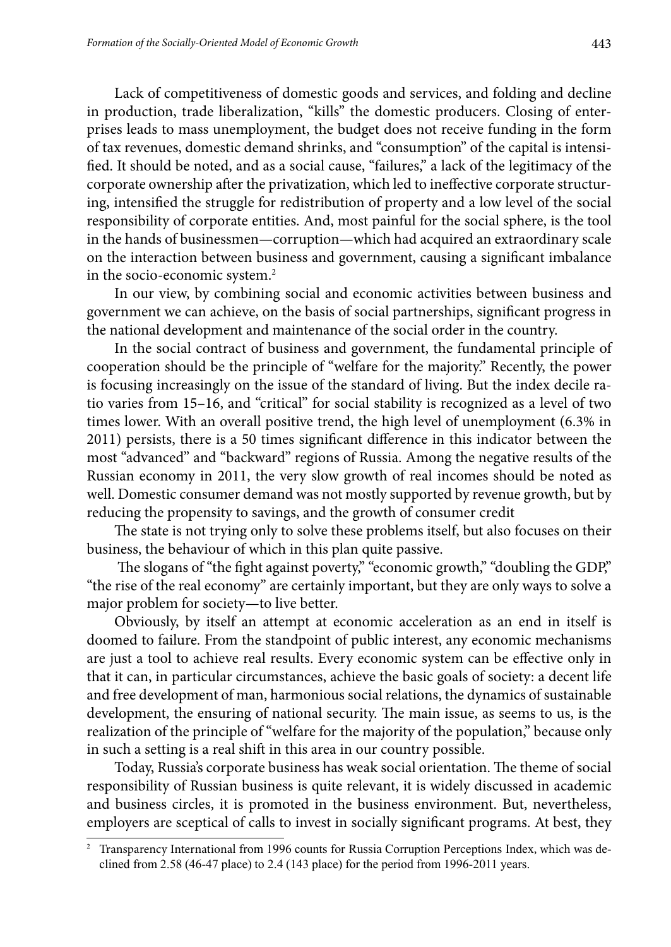Lack of competitiveness of domestic goods and services, and folding and decline in production, trade liberalization, "kills" the domestic producers. Closing of enterprises leads to mass unemployment, the budget does not receive funding in the form of tax revenues, domestic demand shrinks, and "consumption" of the capital is intensified. It should be noted, and as a social cause, "failures," a lack of the legitimacy of the corporate ownership after the privatization, which led to ineffective corporate structuring, intensified the struggle for redistribution of property and a low level of the social responsibility of corporate entities. And, most painful for the social sphere, is the tool in the hands of businessmen—corruption—which had acquired an extraordinary scale on the interaction between business and government, causing a significant imbalance in the socio-economic system.2

In our view, by combining social and economic activities between business and government we can achieve, on the basis of social partnerships, significant progress in the national development and maintenance of the social order in the country.

In the social contract of business and government, the fundamental principle of cooperation should be the principle of "welfare for the majority." Recently, the power is focusing increasingly on the issue of the standard of living. But the index decile ratio varies from 15–16, and "critical" for social stability is recognized as a level of two times lower. With an overall positive trend, the high level of unemployment (6.3% in 2011) persists, there is a 50 times significant difference in this indicator between the most "advanced" and "backward" regions of Russia. Among the negative results of the Russian economy in 2011, the very slow growth of real incomes should be noted as well. Domestic consumer demand was not mostly supported by revenue growth, but by reducing the propensity to savings, and the growth of consumer credit

The state is not trying only to solve these problems itself, but also focuses on their business, the behaviour of which in this plan quite passive.

The slogans of "the fight against poverty," "economic growth," "doubling the GDP," "the rise of the real economy" are certainly important, but they are only ways to solve a major problem for society—to live better.

Obviously, by itself an attempt at economic acceleration as an end in itself is doomed to failure. From the standpoint of public interest, any economic mechanisms are just a tool to achieve real results. Every economic system can be effective only in that it can, in particular circumstances, achieve the basic goals of society: a decent life and free development of man, harmonious social relations, the dynamics of sustainable development, the ensuring of national security. The main issue, as seems to us, is the realization of the principle of "welfare for the majority of the population," because only in such a setting is a real shift in this area in our country possible.

Today, Russia's corporate business has weak social orientation. The theme of social responsibility of Russian business is quite relevant, it is widely discussed in academic and business circles, it is promoted in the business environment. But, nevertheless, employers are sceptical of calls to invest in socially significant programs. At best, they

<sup>2</sup> Transparency International from 1996 counts for Russia Corruption Perceptions Index, which was declined from 2.58 (46-47 place) to 2.4 (143 place) for the period from 1996-2011 years.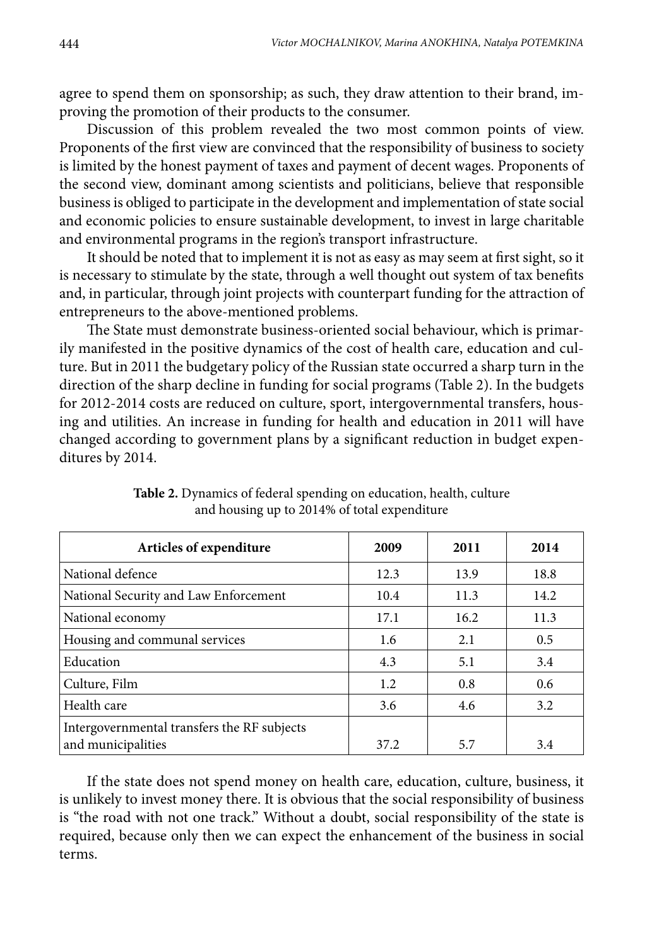agree to spend them on sponsorship; as such, they draw attention to their brand, improving the promotion of their products to the consumer.

Discussion of this problem revealed the two most common points of view. Proponents of the first view are convinced that the responsibility of business to society is limited by the honest payment of taxes and payment of decent wages. Proponents of the second view, dominant among scientists and politicians, believe that responsible business is obliged to participate in the development and implementation of state social and economic policies to ensure sustainable development, to invest in large charitable and environmental programs in the region's transport infrastructure.

It should be noted that to implement it is not as easy as may seem at first sight, so it is necessary to stimulate by the state, through a well thought out system of tax benefits and, in particular, through joint projects with counterpart funding for the attraction of entrepreneurs to the above-mentioned problems.

The State must demonstrate business-oriented social behaviour, which is primarily manifested in the positive dynamics of the cost of health care, education and culture. But in 2011 the budgetary policy of the Russian state occurred a sharp turn in the direction of the sharp decline in funding for social programs (Table 2). In the budgets for 2012-2014 costs are reduced on culture, sport, intergovernmental transfers, housing and utilities. An increase in funding for health and education in 2011 will have changed according to government plans by a significant reduction in budget expenditures by 2014.

| Articles of expenditure                                           | 2009 | 2011 | 2014 |
|-------------------------------------------------------------------|------|------|------|
| National defence                                                  | 12.3 | 13.9 | 18.8 |
| National Security and Law Enforcement                             | 10.4 | 11.3 | 14.2 |
| National economy                                                  | 17.1 | 16.2 | 11.3 |
| Housing and communal services                                     | 1.6  | 2.1  | 0.5  |
| Education                                                         | 4.3  | 5.1  | 3.4  |
| Culture, Film                                                     | 1.2  | 0.8  | 0.6  |
| Health care                                                       | 3.6  | 4.6  | 3.2  |
| Intergovernmental transfers the RF subjects<br>and municipalities | 37.2 | 5.7  | 3.4  |

**Table 2.** Dynamics of federal spending on education, health, culture and housing up to 2014% of total expenditure

If the state does not spend money on health care, education, culture, business, it is unlikely to invest money there. It is obvious that the social responsibility of business is "the road with not one track." Without a doubt, social responsibility of the state is required, because only then we can expect the enhancement of the business in social terms.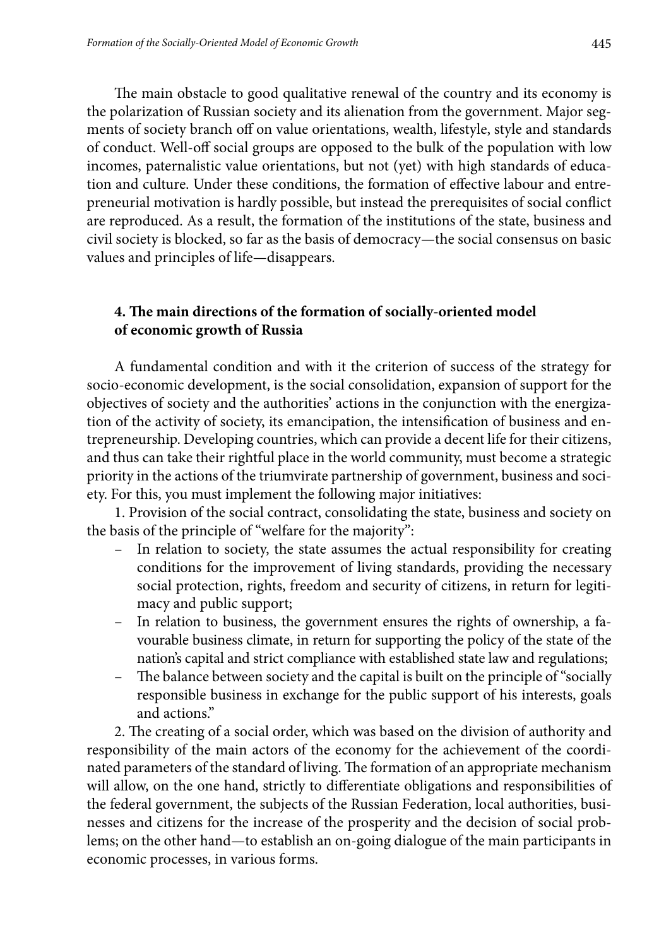The main obstacle to good qualitative renewal of the country and its economy is the polarization of Russian society and its alienation from the government. Major segments of society branch off on value orientations, wealth, lifestyle, style and standards of conduct. Well-off social groups are opposed to the bulk of the population with low incomes, paternalistic value orientations, but not (yet) with high standards of education and culture. Under these conditions, the formation of effective labour and entrepreneurial motivation is hardly possible, but instead the prerequisites of social conflict are reproduced. As a result, the formation of the institutions of the state, business and civil society is blocked, so far as the basis of democracy—the social consensus on basic values and principles of life—disappears.

#### **4. The main directions of the formation of socially-oriented model of economic growth of Russia**

A fundamental condition and with it the criterion of success of the strategy for socio-economic development, is the social consolidation, expansion of support for the objectives of society and the authorities' actions in the conjunction with the energization of the activity of society, its emancipation, the intensification of business and entrepreneurship. Developing countries, which can provide a decent life for their citizens, and thus can take their rightful place in the world community, must become a strategic priority in the actions of the triumvirate partnership of government, business and society. For this, you must implement the following major initiatives:

1. Provision of the social contract, consolidating the state, business and society on the basis of the principle of "welfare for the majority":

- In relation to society, the state assumes the actual responsibility for creating conditions for the improvement of living standards, providing the necessary social protection, rights, freedom and security of citizens, in return for legitimacy and public support;
- In relation to business, the government ensures the rights of ownership, a favourable business climate, in return for supporting the policy of the state of the nation's capital and strict compliance with established state law and regulations;
- The balance between society and the capital is built on the principle of "socially responsible business in exchange for the public support of his interests, goals and actions."

2. The creating of a social order, which was based on the division of authority and responsibility of the main actors of the economy for the achievement of the coordinated parameters of the standard of living. The formation of an appropriate mechanism will allow, on the one hand, strictly to differentiate obligations and responsibilities of the federal government, the subjects of the Russian Federation, local authorities, businesses and citizens for the increase of the prosperity and the decision of social problems; on the other hand—to establish an on-going dialogue of the main participants in economic processes, in various forms.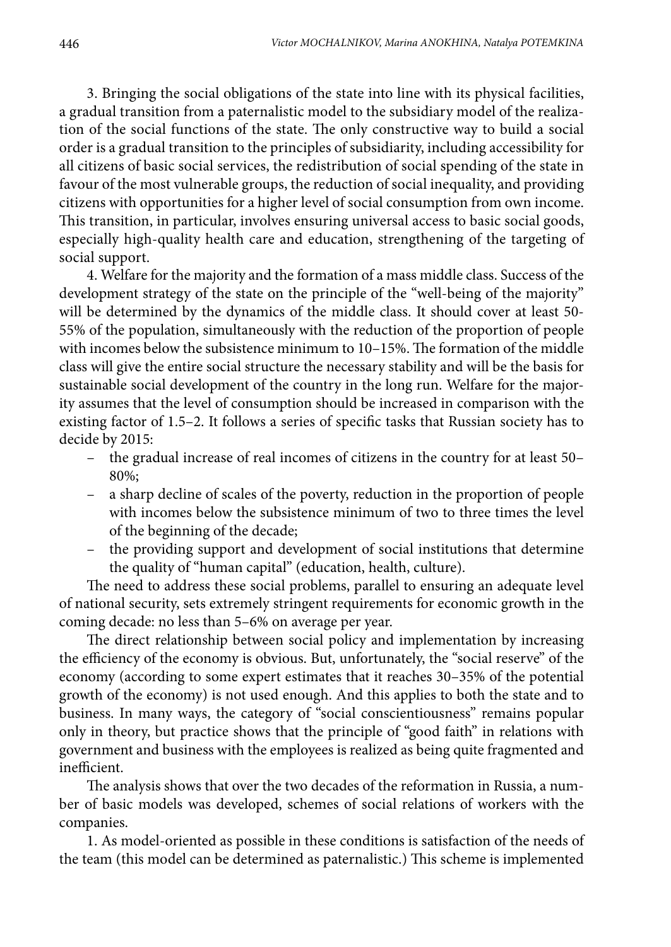3. Bringing the social obligations of the state into line with its physical facilities, a gradual transition from a paternalistic model to the subsidiary model of the realization of the social functions of the state. The only constructive way to build a social order is a gradual transition to the principles of subsidiarity, including accessibility for all citizens of basic social services, the redistribution of social spending of the state in favour of the most vulnerable groups, the reduction of social inequality, and providing citizens with opportunities for a higher level of social consumption from own income. This transition, in particular, involves ensuring universal access to basic social goods, especially high-quality health care and education, strengthening of the targeting of social support.

4. Welfare for the majority and the formation of a mass middle class. Success of the development strategy of the state on the principle of the "well-being of the majority" will be determined by the dynamics of the middle class. It should cover at least 50- 55% of the population, simultaneously with the reduction of the proportion of people with incomes below the subsistence minimum to 10–15%. The formation of the middle class will give the entire social structure the necessary stability and will be the basis for sustainable social development of the country in the long run. Welfare for the majority assumes that the level of consumption should be increased in comparison with the existing factor of 1.5–2. It follows a series of specific tasks that Russian society has to decide by 2015:

- the gradual increase of real incomes of citizens in the country for at least 50– 80%;
- a sharp decline of scales of the poverty, reduction in the proportion of people with incomes below the subsistence minimum of two to three times the level of the beginning of the decade;
- the providing support and development of social institutions that determine the quality of "human capital" (education, health, culture).

The need to address these social problems, parallel to ensuring an adequate level of national security, sets extremely stringent requirements for economic growth in the coming decade: no less than 5–6% on average per year.

The direct relationship between social policy and implementation by increasing the efficiency of the economy is obvious. But, unfortunately, the "social reserve" of the economy (according to some expert estimates that it reaches 30–35% of the potential growth of the economy) is not used enough. And this applies to both the state and to business. In many ways, the category of "social conscientiousness" remains popular only in theory, but practice shows that the principle of "good faith" in relations with government and business with the employees is realized as being quite fragmented and inefficient.

The analysis shows that over the two decades of the reformation in Russia, a number of basic models was developed, schemes of social relations of workers with the companies.

1. As model-oriented as possible in these conditions is satisfaction of the needs of the team (this model can be determined as paternalistic.) This scheme is implemented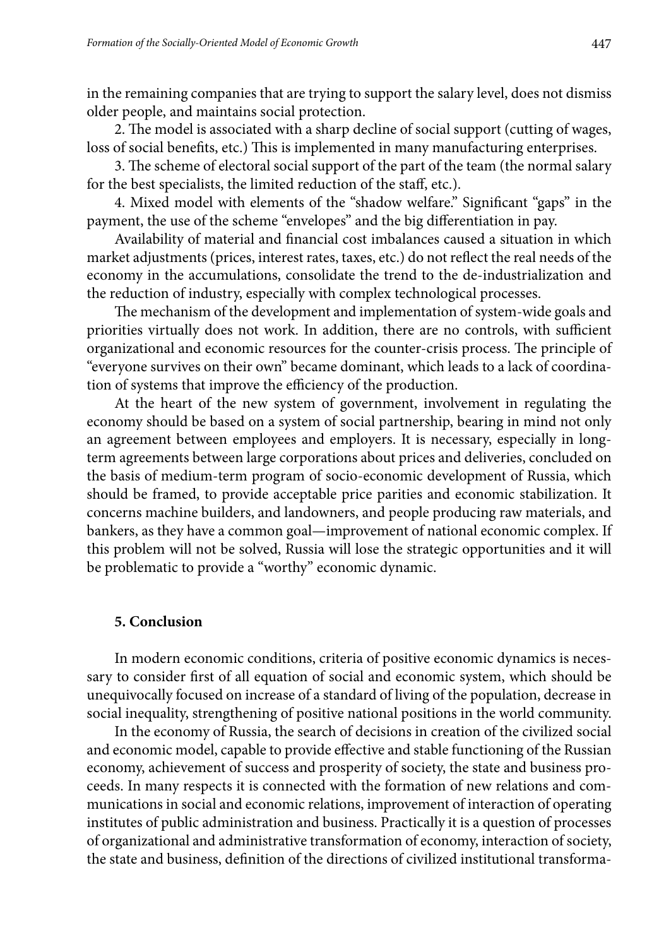in the remaining companies that are trying to support the salary level, does not dismiss older people, and maintains social protection.

2. The model is associated with a sharp decline of social support (cutting of wages, loss of social benefits, etc.) This is implemented in many manufacturing enterprises.

3. The scheme of electoral social support of the part of the team (the normal salary for the best specialists, the limited reduction of the staff, etc.).

4. Mixed model with elements of the "shadow welfare." Significant "gaps" in the payment, the use of the scheme "envelopes" and the big differentiation in pay.

Availability of material and financial cost imbalances caused a situation in which market adjustments (prices, interest rates, taxes, etc.) do not reflect the real needs of the economy in the accumulations, consolidate the trend to the de-industrialization and the reduction of industry, especially with complex technological processes.

The mechanism of the development and implementation of system-wide goals and priorities virtually does not work. In addition, there are no controls, with sufficient organizational and economic resources for the counter-crisis process. The principle of "everyone survives on their own" became dominant, which leads to a lack of coordination of systems that improve the efficiency of the production.

At the heart of the new system of government, involvement in regulating the economy should be based on a system of social partnership, bearing in mind not only an agreement between employees and employers. It is necessary, especially in longterm agreements between large corporations about prices and deliveries, concluded on the basis of medium-term program of socio-economic development of Russia, which should be framed, to provide acceptable price parities and economic stabilization. It concerns machine builders, and landowners, and people producing raw materials, and bankers, as they have a common goal—improvement of national economic complex. If this problem will not be solved, Russia will lose the strategic opportunities and it will be problematic to provide a "worthy" economic dynamic.

#### **5. Conclusion**

In modern economic conditions, criteria of positive economic dynamics is necessary to consider first of all equation of social and economic system, which should be unequivocally focused on increase of a standard of living of the population, decrease in social inequality, strengthening of positive national positions in the world community.

In the economy of Russia, the search of decisions in creation of the civilized social and economic model, capable to provide effective and stable functioning of the Russian economy, achievement of success and prosperity of society, the state and business proceeds. In many respects it is connected with the formation of new relations and communications in social and economic relations, improvement of interaction of operating institutes of public administration and business. Practically it is a question of processes of organizational and administrative transformation of economy, interaction of society, the state and business, definition of the directions of civilized institutional transforma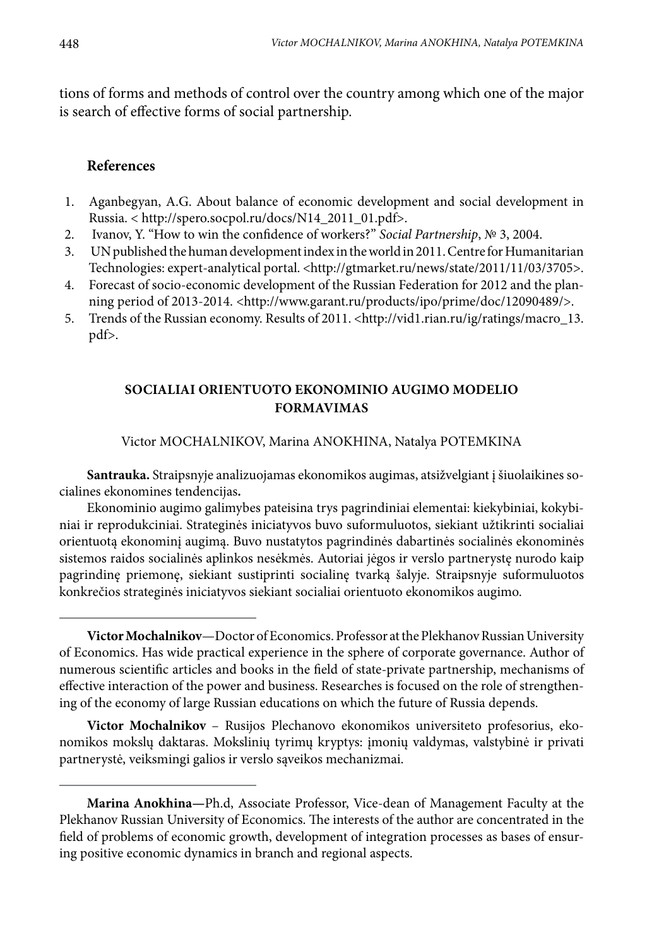tions of forms and methods of control over the country among which one of the major is search of effective forms of social partnership.

#### **References**

- 1. Aganbegyan, A.G. About balance of economic development and social development in Russia. < http://spero.socpol.ru/docs/N14\_2011\_01.pdf>.
- 2. Ivanov, Y. "How to win the confidence of workers?" *Social Partnership*, № 3, 2004.
- 3. UN published the human development index in the world in 2011. Centre for Humanitarian Technologies: expert-analytical portal. <http://gtmarket.ru/news/state/2011/11/03/3705>.
- 4. Forecast of socio-economic development of the Russian Federation for 2012 and the planning period of 2013-2014. <http://www.garant.ru/products/ipo/prime/doc/12090489/>.
- 5. Trends of the Russian economy. Results of 2011. <http://vid1.rian.ru/ig/ratings/macro\_13. pdf>.

### **Socialiai orientuoto ekonominio augimo modelio formavimas**

Victor MOCHALNIKOV, Marina ANOKHINA, Natalya POTEMKINA

**Santrauka.** Straipsnyje analizuojamas ekonomikos augimas, atsižvelgiant į šiuolaikines socialines ekonomines tendencijas**.** 

Ekonominio augimo galimybes pateisina trys pagrindiniai elementai: kiekybiniai, kokybiniai ir reprodukciniai. Strateginės iniciatyvos buvo suformuluotos, siekiant užtikrinti socialiai orientuotą ekonominį augimą. Buvo nustatytos pagrindinės dabartinės socialinės ekonominės sistemos raidos socialinės aplinkos nesėkmės. Autoriai jėgos ir verslo partnerystę nurodo kaip pagrindinę priemonę, siekiant sustiprinti socialinę tvarką šalyje. Straipsnyje suformuluotos konkrečios strateginės iniciatyvos siekiant socialiai orientuoto ekonomikos augimo.

**Victor Mochalnikov** – Rusijos Plechanovo ekonomikos universiteto profesorius, ekonomikos mokslų daktaras. Mokslinių tyrimų kryptys: įmonių valdymas, valstybinė ir privati partnerystė, veiksmingi galios ir verslo sąveikos mechanizmai.

**Victor Mochalnikov**—Doctor of Economics. Professor at the Plekhanov Russian University of Economics. Has wide practical experience in the sphere of corporate governance. Author of numerous scientific articles and books in the field of state-private partnership, mechanisms of effective interaction of the power and business. Researches is focused on the role of strengthening of the economy of large Russian educations on which the future of Russia depends.

**Marina Anokhina—**Ph.d, Associate Professor, Vice-dean of Management Faculty at the Plekhanov Russian University of Economics. The interests of the author are concentrated in the field of problems of economic growth, development of integration processes as bases of ensuring positive economic dynamics in branch and regional aspects.